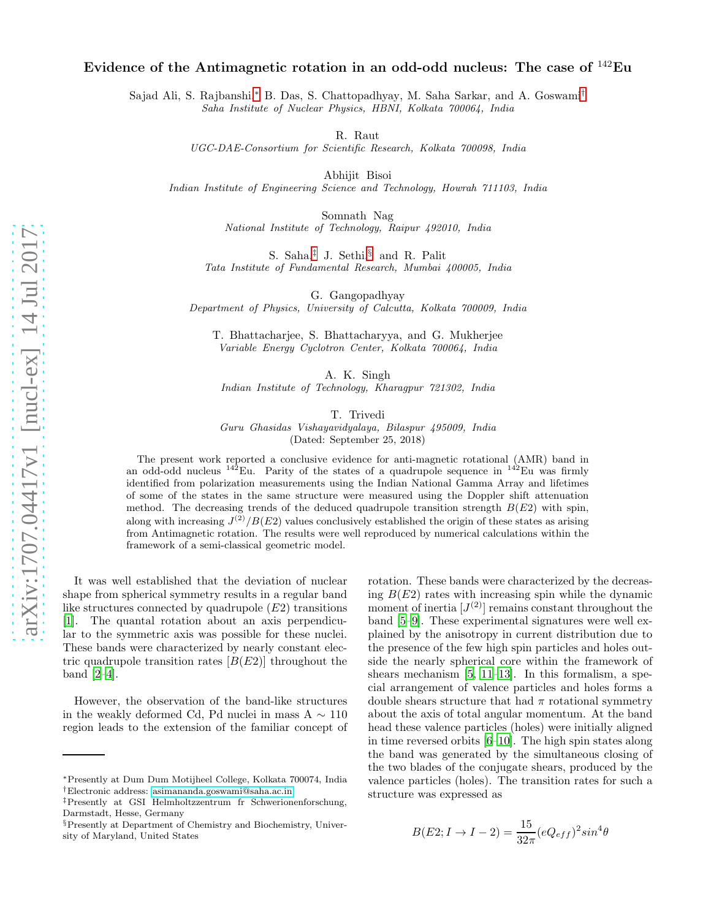## Evidence of the Antimagnetic rotation in an odd-odd nucleus: The case of <sup>142</sup>Eu

Sajad Ali, S. Rajbanshi,[∗](#page-0-0) B. Das, S. Chattopadhyay, M. Saha Sarkar, and A. Goswami[†](#page-0-1) Saha Institute of Nuclear Physics, HBNI, Kolkata 700064, India

R. Raut

UGC-DAE-Consortium for Scientific Research, Kolkata 700098, India

Abhijit Bisoi

Indian Institute of Engineering Science and Technology, Howrah 711103, India

Somnath Nag National Institute of Technology, Raipur 492010, India

S. Saha,[‡](#page-0-2) J. Sethi,[§](#page-0-3) and R. Palit Tata Institute of Fundamental Research, Mumbai 400005, India

G. Gangopadhyay

Department of Physics, University of Calcutta, Kolkata 700009, India

T. Bhattacharjee, S. Bhattacharyya, and G. Mukherjee Variable Energy Cyclotron Center, Kolkata 700064, India

A. K. Singh

Indian Institute of Technology, Kharagpur 721302, India

T. Trivedi

Guru Ghasidas Vishayavidyalaya, Bilaspur 495009, India (Dated: September 25, 2018)

The present work reported a conclusive evidence for anti-magnetic rotational (AMR) band in an odd-odd nucleus  $142$ Eu. Parity of the states of a quadrupole sequence in  $142$ Eu was firmly identified from polarization measurements using the Indian National Gamma Array and lifetimes of some of the states in the same structure were measured using the Doppler shift attenuation method. The decreasing trends of the deduced quadrupole transition strength  $B(E2)$  with spin, along with increasing  $J^{(2)}/B(E2)$  values conclusively established the origin of these states as arising from Antimagnetic rotation. The results were well reproduced by numerical calculations within the framework of a semi-classical geometric model.

It was well established that the deviation of nuclear shape from spherical symmetry results in a regular band like structures connected by quadrupole  $(E2)$  transitions [\[1\]](#page-5-0). The quantal rotation about an axis perpendicular to the symmetric axis was possible for these nuclei. These bands were characterized by nearly constant electric quadrupole transition rates  $[B(E2)]$  throughout the band  $[2-4]$ .

However, the observation of the band-like structures in the weakly deformed Cd, Pd nuclei in mass A  $\sim 110$ region leads to the extension of the familiar concept of

rotation. These bands were characterized by the decreasing  $B(E2)$  rates with increasing spin while the dynamic moment of inertia  $[J<sup>(2)</sup>]$  remains constant throughout the band [\[5](#page-5-3)[–9\]](#page-5-4). These experimental signatures were well explained by the anisotropy in current distribution due to the presence of the few high spin particles and holes outside the nearly spherical core within the framework of shears mechanism  $[5, 11-13]$  $[5, 11-13]$  $[5, 11-13]$ . In this formalism, a special arrangement of valence particles and holes forms a double shears structure that had  $\pi$  rotational symmetry about the axis of total angular momentum. At the band head these valence particles (holes) were initially aligned in time reversed orbits [\[6](#page-5-7)[–10](#page-5-8)]. The high spin states along the band was generated by the simultaneous closing of the two blades of the conjugate shears, produced by the valence particles (holes). The transition rates for such a structure was expressed as

$$
B(E2; I \rightarrow I - 2) = \frac{15}{32\pi} (eQ_{eff})^2 sin^4\theta
$$

<span id="page-0-0"></span><sup>∗</sup>Presently at Dum Dum Motijheel College, Kolkata 700074, India †Electronic address: [asimananda.goswami@saha.ac.in](mailto:asimananda.goswami@saha.ac.in)

<span id="page-0-2"></span><span id="page-0-1"></span><sup>‡</sup>Presently at GSI Helmholtzzentrum fr Schwerionenforschung, Darmstadt, Hesse, Germany

<span id="page-0-3"></span> $\S$  Presently at Department of Chemistry and Biochemistry, University of Maryland, United States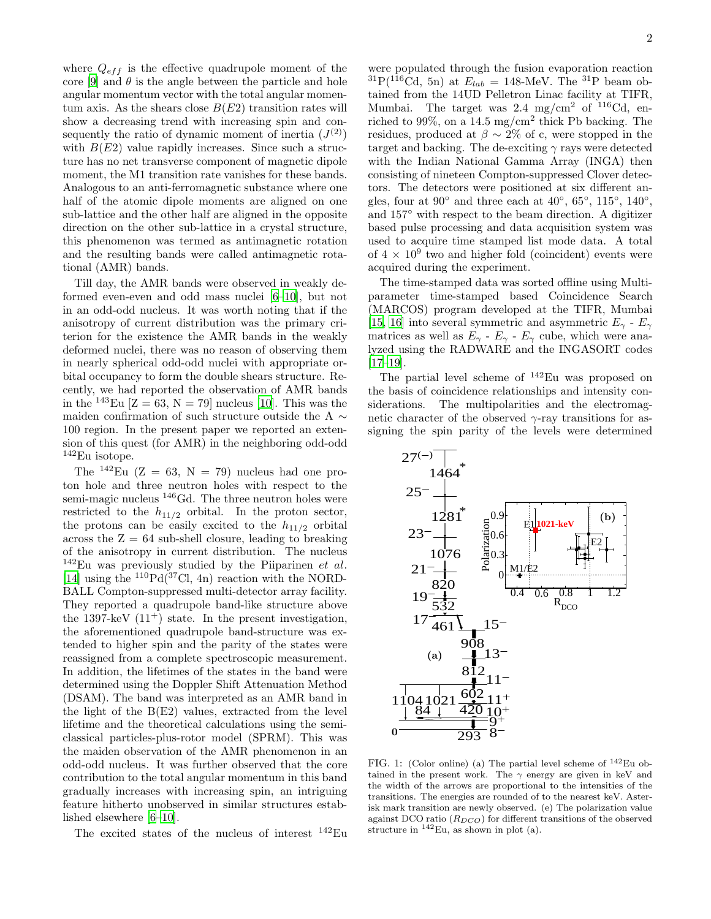where  $Q_{eff}$  is the effective quadrupole moment of the core [\[9\]](#page-5-4) and  $\theta$  is the angle between the particle and hole angular momentum vector with the total angular momentum axis. As the shears close  $B(E2)$  transition rates will show a decreasing trend with increasing spin and consequently the ratio of dynamic moment of inertia  $(J^{(2)})$ with  $B(E2)$  value rapidly increases. Since such a structure has no net transverse component of magnetic dipole moment, the M1 transition rate vanishes for these bands. Analogous to an anti-ferromagnetic substance where one half of the atomic dipole moments are aligned on one sub-lattice and the other half are aligned in the opposite direction on the other sub-lattice in a crystal structure, this phenomenon was termed as antimagnetic rotation and the resulting bands were called antimagnetic rotational (AMR) bands.

Till day, the AMR bands were observed in weakly deformed even-even and odd mass nuclei [\[6](#page-5-7)[–10\]](#page-5-8), but not in an odd-odd nucleus. It was worth noting that if the anisotropy of current distribution was the primary criterion for the existence the AMR bands in the weakly deformed nuclei, there was no reason of observing them in nearly spherical odd-odd nuclei with appropriate orbital occupancy to form the double shears structure. Recently, we had reported the observation of AMR bands in the <sup>143</sup>Eu  $[Z = 63, N = 79]$  nucleus [\[10\]](#page-5-8). This was the maiden confirmation of such structure outside the A  $\sim$ 100 region. In the present paper we reported an extension of this quest (for AMR) in the neighboring odd-odd <sup>142</sup>Eu isotope.

The  $^{142}$ Eu (Z = 63, N = 79) nucleus had one proton hole and three neutron holes with respect to the semi-magic nucleus <sup>146</sup>Gd. The three neutron holes were restricted to the  $h_{11/2}$  orbital. In the proton sector, the protons can be easily excited to the  $h_{11/2}$  orbital across the  $Z = 64$  sub-shell closure, leading to breaking of the anisotropy in current distribution. The nucleus  $142$ Eu was previously studied by the Piiparinen *et al.* [\[14\]](#page-5-9) using the  $^{110}Pd(^{37}Cl, 4n)$  reaction with the NORD-BALL Compton-suppressed multi-detector array facility. They reported a quadrupole band-like structure above the 1397-keV  $(11^+)$  state. In the present investigation, the aforementioned quadrupole band-structure was extended to higher spin and the parity of the states were reassigned from a complete spectroscopic measurement. In addition, the lifetimes of the states in the band were determined using the Doppler Shift Attenuation Method (DSAM). The band was interpreted as an AMR band in the light of the B(E2) values, extracted from the level lifetime and the theoretical calculations using the semiclassical particles-plus-rotor model (SPRM). This was the maiden observation of the AMR phenomenon in an odd-odd nucleus. It was further observed that the core contribution to the total angular momentum in this band gradually increases with increasing spin, an intriguing feature hitherto unobserved in similar structures established elsewhere [\[6](#page-5-7)[–10\]](#page-5-8).

The excited states of the nucleus of interest <sup>142</sup>Eu

were populated through the fusion evaporation reaction  ${}^{31}P({}^{116}Cd, 5n)$  at  $E_{lab} = 148$ -MeV. The  ${}^{31}P$  beam obtained from the 14UD Pelletron Linac facility at TIFR, Mumbai. The target was  $2.4 \text{ mg/cm}^2$  of  $116 \text{Cd}$ , enriched to 99%, on a 14.5 mg/cm<sup>2</sup> thick Pb backing. The residues, produced at  $\beta \sim 2\%$  of c, were stopped in the target and backing. The de-exciting  $\gamma$  rays were detected with the Indian National Gamma Array (INGA) then consisting of nineteen Compton-suppressed Clover detectors. The detectors were positioned at six different angles, four at  $90^{\circ}$  and three each at  $40^{\circ}$ ,  $65^{\circ}$ ,  $115^{\circ}$ ,  $140^{\circ}$ , and 157◦ with respect to the beam direction. A digitizer based pulse processing and data acquisition system was used to acquire time stamped list mode data. A total of  $4 \times 10^9$  two and higher fold (coincident) events were acquired during the experiment.

The time-stamped data was sorted offline using Multiparameter time-stamped based Coincidence Search (MARCOS) program developed at the TIFR, Mumbai [\[15,](#page-5-10) [16\]](#page-5-11) into several symmetric and asymmetric  $E_{\gamma}$  -  $E_{\gamma}$ matrices as well as  $E_{\gamma}$  -  $E_{\gamma}$  -  $E_{\gamma}$  cube, which were analyzed using the RADWARE and the INGASORT codes [\[17](#page-5-12)[–19\]](#page-5-13).

The partial level scheme of <sup>142</sup>Eu was proposed on the basis of coincidence relationships and intensity considerations. The multipolarities and the electromagnetic character of the observed  $\gamma$ -ray transitions for assigning the spin parity of the levels were determined



<span id="page-1-0"></span>FIG. 1: (Color online) (a) The partial level scheme of  $^{142}$ Eu obtained in the present work. The  $\gamma$  energy are given in keV and the width of the arrows are proportional to the intensities of the transitions. The energies are rounded of to the nearest keV. Asterisk mark transition are newly observed. (e) The polarization value against DCO ratio  $(R_{DCO})$  for different transitions of the observed structure in  $^{142}$ Eu, as shown in plot (a).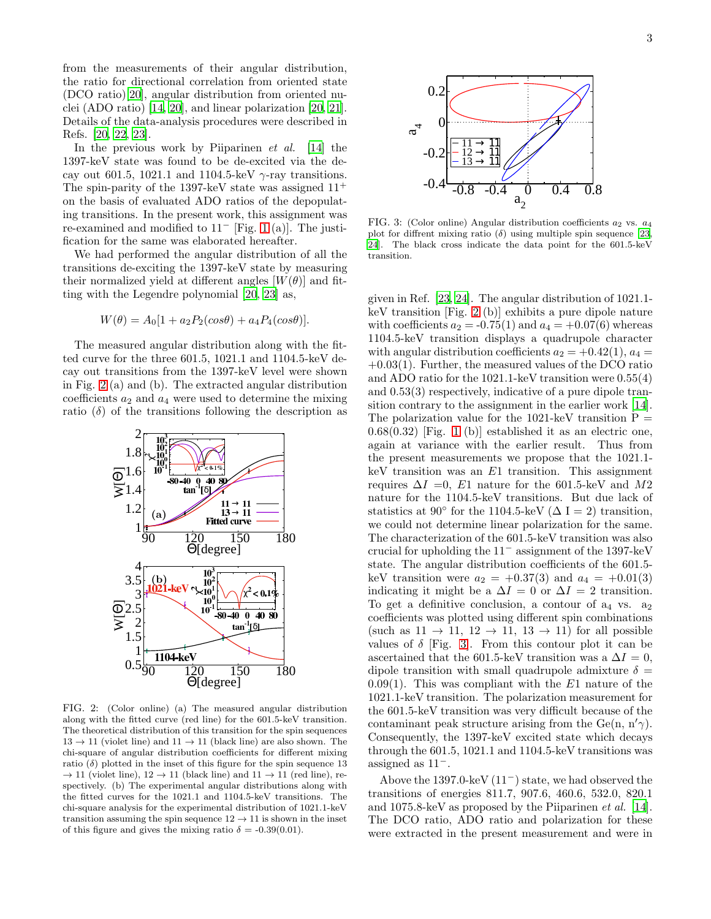from the measurements of their angular distribution, the ratio for directional correlation from oriented state (DCO ratio)[\[20\]](#page-5-14), angular distribution from oriented nuclei (ADO ratio) [\[14,](#page-5-9) [20](#page-5-14)], and linear polarization [\[20](#page-5-14), [21\]](#page-5-15). Details of the data-analysis procedures were described in Refs. [\[20,](#page-5-14) [22,](#page-5-16) [23\]](#page-5-17).

In the previous work by Piiparinen *et al.* [\[14](#page-5-9)] the 1397-keV state was found to be de-excited via the decay out 601.5, 1021.1 and 1104.5-keV  $\gamma$ -ray transitions. The spin-parity of the 1397-keV state was assigned  $11^+$ on the basis of evaluated ADO ratios of the depopulating transitions. In the present work, this assignment was re-examined and modified to 11<sup>−</sup> [Fig. [1](#page-1-0) (a)]. The justification for the same was elaborated hereafter.

We had performed the angular distribution of all the transitions de-exciting the 1397-keV state by measuring their normalized yield at different angles  $[W(\theta)]$  and fitting with the Legendre polynomial [\[20](#page-5-14), [23](#page-5-17)] as,

$$
W(\theta) = A_0[1 + a_2 P_2(cos\theta) + a_4 P_4(cos\theta)].
$$

The measured angular distribution along with the fitted curve for the three 601.5, 1021.1 and 1104.5-keV decay out transitions from the 1397-keV level were shown in Fig. [2](#page-2-0) (a) and (b). The extracted angular distribution coefficients  $a_2$  and  $a_4$  were used to determine the mixing ratio  $(\delta)$  of the transitions following the description as



<span id="page-2-0"></span>FIG. 2: (Color online) (a) The measured angular distribution along with the fitted curve (red line) for the 601.5-keV transition. The theoretical distribution of this transition for the spin sequences  $13 \rightarrow 11$  (violet line) and  $11 \rightarrow 11$  (black line) are also shown. The chi-square of angular distribution coefficients for different mixing ratio  $(\delta)$  plotted in the inset of this figure for the spin sequence 13  $\rightarrow$  11 (violet line), 12  $\rightarrow$  11 (black line) and 11  $\rightarrow$  11 (red line), respectively. (b) The experimental angular distributions along with the fitted curves for the 1021.1 and 1104.5-keV transitions. The chi-square analysis for the experimental distribution of 1021.1-keV transition assuming the spin sequence  $12 \rightarrow 11$  is shown in the inset of this figure and gives the mixing ratio  $\delta = -0.39(0.01)$ .



<span id="page-2-1"></span>FIG. 3: (Color online) Angular distribution coefficients  $a_2$  vs.  $a_4$ plot for diffrent mixing ratio  $(\delta)$  using multiple spin sequence [\[23,](#page-5-17) [24](#page-5-18)]. The black cross indicate the data point for the 601.5-keV transition.

given in Ref. [\[23](#page-5-17), [24\]](#page-5-18). The angular distribution of 1021.1 keV transition [Fig. [2](#page-2-0) (b)] exhibits a pure dipole nature with coefficients  $a_2 = -0.75(1)$  and  $a_4 = +0.07(6)$  whereas 1104.5-keV transition displays a quadrupole character with angular distribution coefficients  $a_2 = +0.42(1), a_4 =$  $+0.03(1)$ . Further, the measured values of the DCO ratio and ADO ratio for the 1021.1-keV transition were 0.55(4) and 0.53(3) respectively, indicative of a pure dipole transition contrary to the assignment in the earlier work [\[14\]](#page-5-9). The polarization value for the 1021-keV transition  $P =$  $0.68(0.32)$  [Fig. [1](#page-1-0) (b)] established it as an electric one, again at variance with the earlier result. Thus from the present measurements we propose that the 1021.1  $keV$  transition was an  $E1$  transition. This assignment requires  $\Delta I = 0$ , E1 nature for the 601.5-keV and M2 nature for the 1104.5-keV transitions. But due lack of statistics at 90 $^{\circ}$  for the 1104.5-keV ( $\Delta$  I = 2) transition, we could not determine linear polarization for the same. The characterization of the 601.5-keV transition was also crucial for upholding the 11<sup>−</sup> assignment of the 1397-keV state. The angular distribution coefficients of the 601.5 keV transition were  $a_2 = +0.37(3)$  and  $a_4 = +0.01(3)$ indicating it might be a  $\Delta I = 0$  or  $\Delta I = 2$  transition. To get a definitive conclusion, a contour of  $a_4$  vs.  $a_2$ coefficients was plotted using different spin combinations (such as  $11 \rightarrow 11$ ,  $12 \rightarrow 11$ ,  $13 \rightarrow 11$ ) for all possible values of  $\delta$  [Fig. [3\]](#page-2-1). From this contour plot it can be ascertained that the 601.5-keV transition was a  $\Delta I = 0$ , dipole transition with small quadrupole admixture  $\delta =$  $0.09(1)$ . This was compliant with the E1 nature of the 1021.1-keV transition. The polarization measurement for the 601.5-keV transition was very difficult because of the contaminant peak structure arising from the Ge(n, n' $\gamma$ ). Consequently, the 1397-keV excited state which decays through the 601.5, 1021.1 and 1104.5-keV transitions was assigned as 11−.

Above the 1397.0-keV (11<sup>−</sup>) state, we had observed the transitions of energies 811.7, 907.6, 460.6, 532.0, 820.1 and 1075.8-keV as proposed by the Piiparinen et al. [\[14\]](#page-5-9). The DCO ratio, ADO ratio and polarization for these were extracted in the present measurement and were in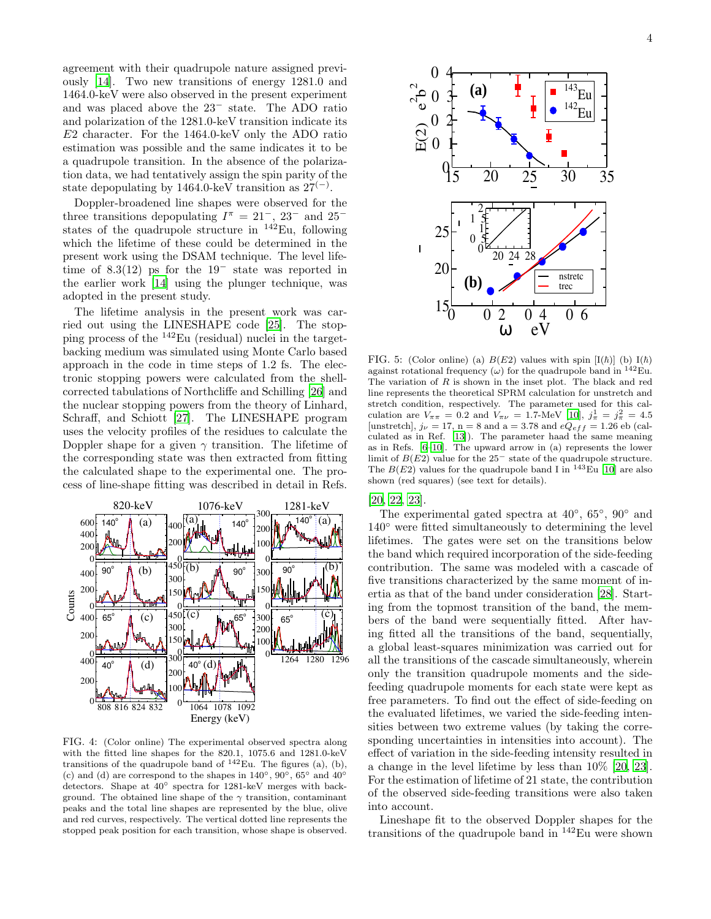agreement with their quadrupole nature assigned previously [\[14\]](#page-5-9). Two new transitions of energy 1281.0 and 1464.0-keV were also observed in the present experiment and was placed above the 23<sup>−</sup> state. The ADO ratio and polarization of the 1281.0-keV transition indicate its E2 character. For the 1464.0-keV only the ADO ratio estimation was possible and the same indicates it to be a quadrupole transition. In the absence of the polarization data, we had tentatively assign the spin parity of the state depopulating by 1464.0-keV transition as  $27<sup>(−)</sup>$ .

Doppler-broadened line shapes were observed for the three transitions depopulating  $I^{\pi} = 21^{-}$ ,  $23^{-}$  and  $25^{-}$ states of the quadrupole structure in  $^{142}$ Eu, following which the lifetime of these could be determined in the present work using the DSAM technique. The level lifetime of 8.3(12) ps for the 19<sup>−</sup> state was reported in the earlier work [\[14\]](#page-5-9) using the plunger technique, was adopted in the present study.

The lifetime analysis in the present work was carried out using the LINESHAPE code [\[25\]](#page-5-19). The stopping process of the <sup>142</sup>Eu (residual) nuclei in the targetbacking medium was simulated using Monte Carlo based approach in the code in time steps of 1.2 fs. The electronic stopping powers were calculated from the shellcorrected tabulations of Northcliffe and Schilling [\[26\]](#page-5-20) and the nuclear stopping powers from the theory of Linhard, Schraff, and Schiott [\[27\]](#page-5-21). The LINESHAPE program uses the velocity profiles of the residues to calculate the Doppler shape for a given  $\gamma$  transition. The lifetime of the corresponding state was then extracted from fitting the calculated shape to the experimental one. The process of line-shape fitting was described in detail in Refs.



<span id="page-3-0"></span>FIG. 4: (Color online) The experimental observed spectra along with the fitted line shapes for the 820.1, 1075.6 and 1281.0-keV transitions of the quadrupole band of  $^{142}$ Eu. The figures (a), (b), (c) and (d) are correspond to the shapes in  $140°$ ,  $90°$ ,  $65°$  and  $40°$ detectors. Shape at 40◦ spectra for 1281-keV merges with background. The obtained line shape of the  $\gamma$  transition, contaminant peaks and the total line shapes are represented by the blue, olive and red curves, respectively. The vertical dotted line represents the stopped peak position for each transition, whose shape is observed.



<span id="page-3-1"></span>FIG. 5: (Color online) (a)  $B(E2)$  values with spin  $[I(h)]$  (b)  $I(h)$ against rotational frequency  $(\omega)$  for the quadrupole band in <sup>142</sup>Eu. The variation of  $R$  is shown in the inset plot. The black and red line represents the theoretical SPRM calculation for unstretch and stretch condition, respectively. The parameter used for this calculation are  $V_{\pi\pi} = 0.2$  and  $V_{\pi\nu} = 1.7$ -MeV [\[10](#page-5-8)],  $j_{\pi}^1 = j_{\pi}^2 = 4.5$ [unstretch],  $j_{\nu} = 17$ , n = 8 and a = 3.78 and  $eQ_{eff} = 1.26$  eb (calculated as in Ref. [\[13](#page-5-6)]). The parameter haad the same meaning as in Refs. [\[6](#page-5-7)[–10\]](#page-5-8). The upward arrow in (a) represents the lower limit of  $B(E2)$  value for the 25<sup>-</sup> state of the quadrupole structure. The  $B(E2)$  values for the quadrupole band I in <sup>143</sup>Eu [\[10](#page-5-8)] are also shown (red squares) (see text for details).

[\[20,](#page-5-14) [22,](#page-5-16) [23\]](#page-5-17).

The experimental gated spectra at  $40^{\circ}$ ,  $65^{\circ}$ ,  $90^{\circ}$  and 140◦ were fitted simultaneously to determining the level lifetimes. The gates were set on the transitions below the band which required incorporation of the side-feeding contribution. The same was modeled with a cascade of five transitions characterized by the same moment of inertia as that of the band under consideration [\[28\]](#page-5-22). Starting from the topmost transition of the band, the members of the band were sequentially fitted. After having fitted all the transitions of the band, sequentially, a global least-squares minimization was carried out for all the transitions of the cascade simultaneously, wherein only the transition quadrupole moments and the sidefeeding quadrupole moments for each state were kept as free parameters. To find out the effect of side-feeding on the evaluated lifetimes, we varied the side-feeding intensities between two extreme values (by taking the corresponding uncertainties in intensities into account). The effect of variation in the side-feeding intensity resulted in a change in the level lifetime by less than 10% [\[20,](#page-5-14) [23\]](#page-5-17). For the estimation of lifetime of 21 state, the contribution of the observed side-feeding transitions were also taken into account.

Lineshape fit to the observed Doppler shapes for the transitions of the quadrupole band in <sup>142</sup>Eu were shown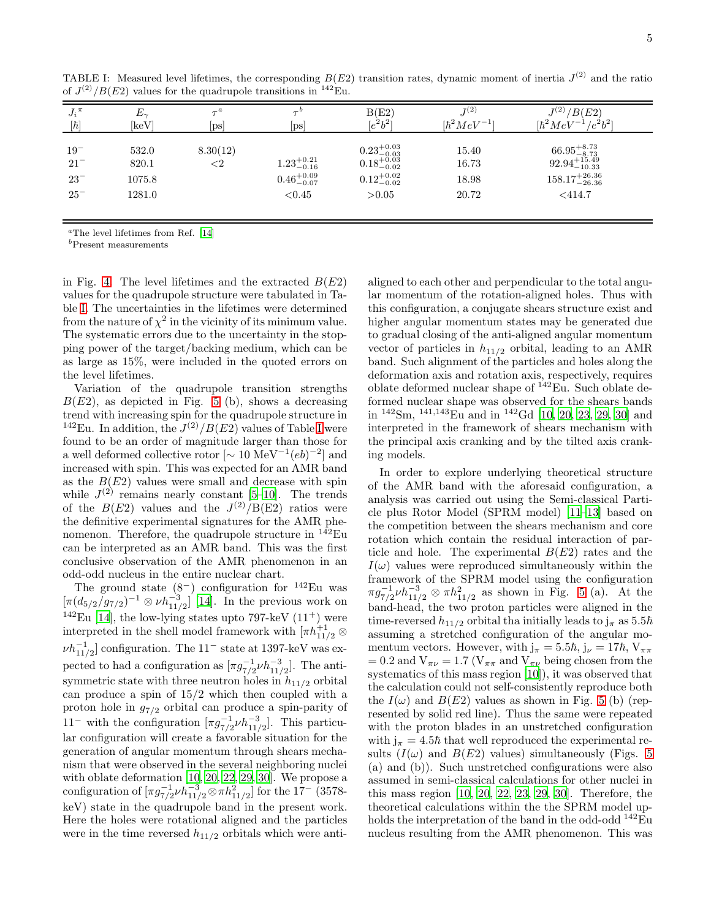| $J_i{}^{\pi}$                                | $E_{\sim}$                         | $\tau^a$           | $ {\rm ps} $                                               | B(E2)                                                                                                                                    | $J^{(2)}$                        | $J^{(2)}/B(E2)$                                                                                        |
|----------------------------------------------|------------------------------------|--------------------|------------------------------------------------------------|------------------------------------------------------------------------------------------------------------------------------------------|----------------------------------|--------------------------------------------------------------------------------------------------------|
| $[\hbar]$                                    | [keV]                              | $[\mathrm{ps}]$    |                                                            | $(e^2b^2)$                                                                                                                               | $[\hbar^2 MeV^{-1}]$             | $[\hbar^2 MeV^{-1}/e^2b^2]$                                                                            |
| $19^{-}$<br>$21^{-}$<br>$23^{-}$<br>$25^{-}$ | 532.0<br>820.1<br>1075.8<br>1281.0 | 8.30(12)<br>${<}2$ | $1.23^{+0.21}_{-0.16}$<br>$0.46^{+0.09}_{-0.07}$<br>< 0.45 | $0.23^{\mathrm {+0.03}}_{\mathrm {-0.03}}\atop{0.18^{\mathrm {+0.03}}_{\mathrm {-0.02}}}\phantom{0}$<br>$0.12^{+0.02}_{-0.02}$<br>> 0.05 | 15.40<br>16.73<br>18.98<br>20.72 | $\substack{66.95_{-8.73}^{+8.73}}{92.94_{-10.33}^{+15.49}}$<br>$158.17_{-26.36}^{+26.36}$<br>$<$ 414.7 |

<span id="page-4-0"></span>TABLE I: Measured level lifetimes, the corresponding  $B(E2)$  transition rates, dynamic moment of inertia  $J^{(2)}$  and the ratio of  $J^{(2)}/B(E2)$  values for the quadrupole transitions in <sup>142</sup>Eu.

 $a$ The level lifetimes from Ref. [\[14](#page-5-9)]

<sup>b</sup>Present measurements

in Fig. [4.](#page-3-0) The level lifetimes and the extracted  $B(E2)$ values for the quadrupole structure were tabulated in Table [I.](#page-4-0) The uncertainties in the lifetimes were determined from the nature of  $\chi^2$  in the vicinity of its minimum value. The systematic errors due to the uncertainty in the stopping power of the target/backing medium, which can be as large as 15%, were included in the quoted errors on the level lifetimes.

Variation of the quadrupole transition strengths  $B(E2)$ , as depicted in Fig. [5](#page-3-1) (b), shows a decreasing trend with increasing spin for the quadrupole structure in <sup>142</sup>Eu. [I](#page-4-0)n addition, the  $J^{(2)}/B(E2)$  values of Table I were found to be an order of magnitude larger than those for a well deformed collective rotor  $\lbrack \sim 10 \text{ MeV}^{-1}(eb)^{-2}\rbrack$  and increased with spin. This was expected for an AMR band as the  $B(E2)$  values were small and decrease with spin while  $J^{(2)}$  remains nearly constant [\[5](#page-5-3)-10]. The trends of the  $B(E2)$  values and the  $J^{(2)}/B(E2)$  ratios were the definitive experimental signatures for the AMR phenomenon. Therefore, the quadrupole structure in  $^{142}$ Eu can be interpreted as an AMR band. This was the first conclusive observation of the AMR phenomenon in an odd-odd nucleus in the entire nuclear chart.

The ground state  $(8^-)$  configuration for <sup>142</sup>Eu was  $\left[\pi(d_{5/2})\right]g_{7/2}$ <sup>-1</sup>  $\otimes \nu h_{11/2}^{-3}$  [\[14](#page-5-9)]. In the previous work on <sup>142</sup>Eu [\[14\]](#page-5-9), the low-lying states upto 797-keV  $(11<sup>+</sup>)$  were interpreted in the shell model framework with  $[\pi h_{11/2}^{+1} \otimes$  $\nu h_{11/2}^{-1}]$  configuration. The  $11^-$  state at 1397-keV was expected to had a configuration as  $[\pi g_{7/2}^{-1} \nu h_{11/2}^{-3}]$ . The antisymmetric state with three neutron holes in  $h_{11/2}$  orbital can produce a spin of 15/2 which then coupled with a proton hole in  $g_{7/2}$  orbital can produce a spin-parity of 11<sup>−</sup> with the configuration  $[\pi g_{7/2}^{-1} \nu h_{11/2}^{-3}]$ . This particular configuration will create a favorable situation for the generation of angular momentum through shears mechanism that were observed in the several neighboring nuclei with oblate deformation [\[10](#page-5-8), [20](#page-5-14), [22](#page-5-16), [29](#page-5-23), [30](#page-5-24)]. We propose a configuration of  $[\pi g_{7/2}^{-1} \nu h_{11/2}^{-3} \otimes \pi h_{11/2}^2]$  for the 17<sup>-</sup> (3578keV) state in the quadrupole band in the present work. Here the holes were rotational aligned and the particles were in the time reversed  $h_{11/2}$  orbitals which were antialigned to each other and perpendicular to the total angular momentum of the rotation-aligned holes. Thus with this configuration, a conjugate shears structure exist and higher angular momentum states may be generated due to gradual closing of the anti-aligned angular momentum vector of particles in  $h_{11/2}$  orbital, leading to an AMR band. Such alignment of the particles and holes along the deformation axis and rotation axis, respectively, requires oblate deformed nuclear shape of  $^{142}$ Eu. Such oblate deformed nuclear shape was observed for the shears bands in <sup>142</sup>Sm, <sup>141</sup>,<sup>143</sup>Eu and in <sup>142</sup>Gd [\[10,](#page-5-8) [20,](#page-5-14) [23,](#page-5-17) [29,](#page-5-23) [30\]](#page-5-24) and interpreted in the framework of shears mechanism with the principal axis cranking and by the tilted axis cranking models.

In order to explore underlying theoretical structure of the AMR band with the aforesaid configuration, a analysis was carried out using the Semi-classical Particle plus Rotor Model (SPRM model) [\[11](#page-5-5)[–13\]](#page-5-6) based on the competition between the shears mechanism and core rotation which contain the residual interaction of particle and hole. The experimental  $B(E2)$  rates and the  $I(\omega)$  values were reproduced simultaneously within the framework of the SPRM model using the configuration  $\pi g_{7/2}^{-1} \nu h_{11/2}^{-3} \otimes \pi h_{11/2}^2$  as shown in Fig. [5](#page-3-1) (a). At the band-head, the two proton particles were aligned in the time-reversed  $h_{11/2}$  orbital tha initially leads to  $j_{\pi}$  as 5.5 $\hbar$ assuming a stretched configuration of the angular momentum vectors. However, with  $j_{\pi} = 5.5\hbar, j_{\nu} = 17\hbar, V_{\pi\pi}$  $= 0.2$  and  $V_{\pi\nu} = 1.7$  ( $V_{\pi\pi}$  and  $V_{\pi\nu}$  being chosen from the systematics of this mass region [\[10\]](#page-5-8)), it was observed that the calculation could not self-consistently reproduce both the  $I(\omega)$  and  $B(E2)$  values as shown in Fig. [5](#page-3-1) (b) (represented by solid red line). Thus the same were repeated with the proton blades in an unstretched configuration with  $j_{\pi} = 4.5\hbar$  that well reproduced the experimental results  $(I(\omega)$  and  $B(E2)$  values) simultaneously (Figs. [5](#page-3-1) (a) and (b)). Such unstretched configurations were also assumed in semi-classical calculations for other nuclei in this mass region [\[10](#page-5-8), [20,](#page-5-14) [22](#page-5-16), [23,](#page-5-17) [29,](#page-5-23) [30](#page-5-24)]. Therefore, the theoretical calculations within the the SPRM model upholds the interpretation of the band in the odd-odd <sup>142</sup>Eu nucleus resulting from the AMR phenomenon. This was